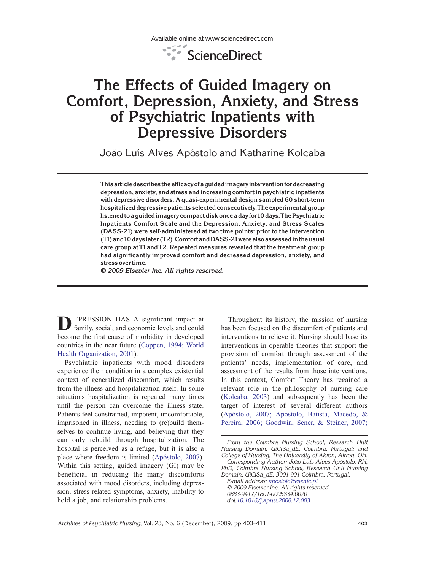

# The Effects of Guided Imagery on Comfort, Depression, Anxiety, and Stress of Psychiatric Inpatients with Depressive Disorders

João Luís Alves Apóstolo and Katharine Kolcaba

This article describes the efficacyofa guided imagery intervention for decreasing depression, anxiety, and stress and increasing comfort in psychiatric inpatients with depressive disorders. A quasi-experimental design sampled 60 short-term hospitalized depressive patients selected consecutively.The experimental group listened to a guided imagery compact disk once a day for10 days.The Psychiatric Inpatients Comfort Scale and the Depression, Anxiety, and Stress Scales (DASS-21) were self-administered at two time points: prior to the intervention (T1) and10 days later (T2).Comfort and DASS-21were also assessed in the usual care group atT1 and T2. Repeated measures revealed that the treatment group had significantly improved comfort and decreased depression, anxiety, and stress over time.

© 2009 Elsevier Inc. All rights reserved.

**DEPRESSION HAS A significant impact at** family, social, and economic levels and could become the first cause of morbidity in developed countries in the near future ([Coppen, 1994; World](#page-7-0) [Health Organization, 2001\)](#page-7-0).

Psychiatric inpatients with mood disorders experience their condition in a complex existential context of generalized discomfort, which results from the illness and hospitalization itself. In some situations hospitalization is repeated many times until the person can overcome the illness state. Patients feel constrained, impotent, uncomfortable, imprisoned in illness, needing to (re)build themselves to continue living, and believing that they can only rebuild through hospitalization. The hospital is perceived as a refuge, but it is also a place where freedom is limited [\(Apóstolo, 2007](#page-7-0)). Within this setting, guided imagery (GI) may be beneficial in reducing the many discomforts associated with mood disorders, including depression, stress-related symptoms, anxiety, inability to hold a job, and relationship problems.

Throughout its history, the mission of nursing has been focused on the discomfort of patients and interventions to relieve it. Nursing should base its interventions in operable theories that support the provision of comfort through assessment of the patients' needs, implementation of care, and assessment of the results from those interventions. In this context, Comfort Theory has regained a relevant role in the philosophy of nursing care [\(Kolcaba, 2003\)](#page-7-0) and subsequently has been the target of interest of several different authors [\(Apóstolo, 2007; Apóstolo, Batista, Macedo, &](#page-7-0) [Pereira, 2006; Goodwin, Sener, & Steiner, 2007;](#page-7-0)

0883-9417/1801-0005\$34.00/0 doi[:10.1016/j.apnu.2008.12.003](http://dx.doi.org/10.1016/j.apnu.2008.12.003)

From the Coimbra Nursing School, Research Unit Nursing Domain, UiCiSa\_dE, Coimbra, Portugal; and College of Nursing, The University of Akron, Akron, OH. Corresponding Author: João Luís Alves Apóstolo, RN, PhD, Coimbra Nursing School, Research Unit Nursing Domain, UiCiSa\_dE, 3001-901 Coimbra, Portugal. E-mail address: [apostolo@esenfc.pt](mailto:apostolo@esenfc.pt) © 2009 Elsevier Inc. All rights reserved.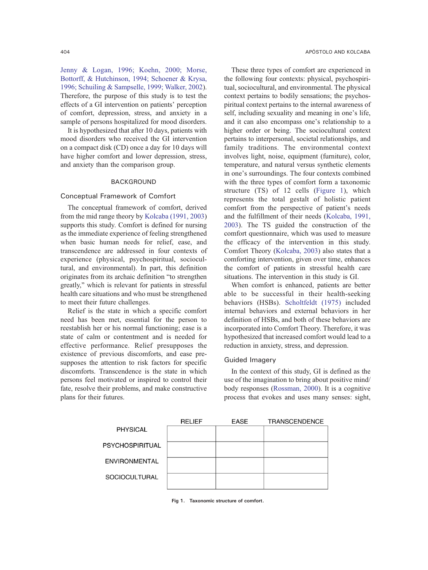[Jenny & Logan, 1996; Koehn, 2000; Morse,](#page-7-0) [Bottorff, & Hutchinson, 1994; Schoener & Krysa,](#page-7-0) [1996; Schuiling & Sampselle, 1999; Walker, 2002](#page-7-0)). Therefore, the purpose of this study is to test the effects of a GI intervention on patients' perception of comfort, depression, stress, and anxiety in a sample of persons hospitalized for mood disorders.

It is hypothesized that after 10 days, patients with mood disorders who received the GI intervention on a compact disk (CD) once a day for 10 days will have higher comfort and lower depression, stress, and anxiety than the comparison group.

## BACKGROUND

# Conceptual Framework of Comfort

The conceptual framework of comfort, derived from the mid range theory by [Kolcaba \(1991, 2003\)](#page-7-0) supports this study. Comfort is defined for nursing as the immediate experience of feeling strengthened when basic human needs for relief, ease, and transcendence are addressed in four contexts of experience (physical, psychospiritual, sociocultural, and environmental). In part, this definition originates from its archaic definition "to strengthen greatly," which is relevant for patients in stressful health care situations and who must be strengthened to meet their future challenges.

Relief is the state in which a specific comfort need has been met, essential for the person to reestablish her or his normal functioning; ease is a state of calm or contentment and is needed for effective performance. Relief presupposes the existence of previous discomforts, and ease presupposes the attention to risk factors for specific discomforts. Transcendence is the state in which persons feel motivated or inspired to control their fate, resolve their problems, and make constructive plans for their futures.

These three types of comfort are experienced in the following four contexts: physical, psychospiritual, sociocultural, and environmental. The physical context pertains to bodily sensations; the psychospiritual context pertains to the internal awareness of self, including sexuality and meaning in one's life, and it can also encompass one's relationship to a higher order or being. The sociocultural context pertains to interpersonal, societal relationships, and family traditions. The environmental context involves light, noise, equipment (furniture), color, temperature, and natural versus synthetic elements in one's surroundings. The four contexts combined with the three types of comfort form a taxonomic structure (TS) of 12 cells (Figure 1), which represents the total gestalt of holistic patient comfort from the perspective of patient's needs and the fulfillment of their needs ([Kolcaba, 1991,](#page-7-0) [2003](#page-7-0)). The TS guided the construction of the comfort questionnaire, which was used to measure the efficacy of the intervention in this study. Comfort Theory ([Kolcaba, 2003](#page-7-0)) also states that a comforting intervention, given over time, enhances the comfort of patients in stressful health care situations. The intervention in this study is GI.

When comfort is enhanced, patients are better able to be successful in their health-seeking behaviors (HSBs). [Scholtfeldt \(1975\)](#page-8-0) included internal behaviors and external behaviors in her definition of HSBs, and both of these behaviors are incorporated into Comfort Theory. Therefore, it was hypothesized that increased comfort would lead to a reduction in anxiety, stress, and depression.

## Guided Imagery

In the context of this study, GI is defined as the use of the imagination to bring about positive mind/ body responses [\(Rossman, 2000\)](#page-8-0). It is a cognitive process that evokes and uses many senses: sight,



Fig 1. Taxonomic structure of comfort.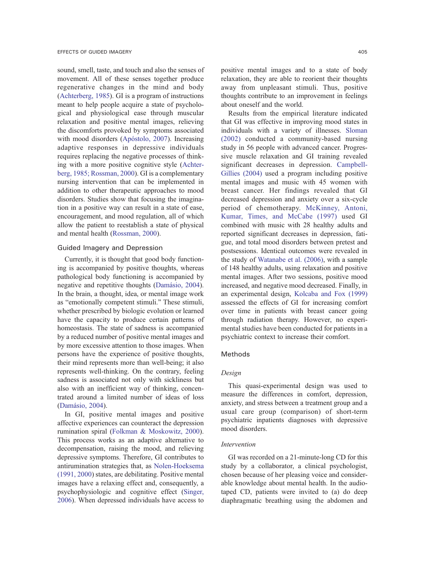sound, smell, taste, and touch and also the senses of movement. All of these senses together produce regenerative changes in the mind and body ([Achterberg, 1985](#page-7-0)). GI is a program of instructions meant to help people acquire a state of psychological and physiological ease through muscular relaxation and positive mental images, relieving the discomforts provoked by symptoms associated with mood disorders [\(Apóstolo, 2007\)](#page-7-0). Increasing adaptive responses in depressive individuals requires replacing the negative processes of thinking with a more positive cognitive style ([Achter](#page-7-0)[berg, 1985; Rossman, 2000\)](#page-7-0). GI is a complementary nursing intervention that can be implemented in addition to other therapeutic approaches to mood disorders. Studies show that focusing the imagination in a positive way can result in a state of ease, encouragement, and mood regulation, all of which allow the patient to reestablish a state of physical and mental health [\(Rossman, 2000\)](#page-8-0).

# Guided Imagery and Depression

Currently, it is thought that good body functioning is accompanied by positive thoughts, whereas pathological body functioning is accompanied by negative and repetitive thoughts [\(Damásio, 2004](#page-7-0)). In the brain, a thought, idea, or mental image work as "emotionally competent stimuli." These stimuli, whether prescribed by biologic evolution or learned have the capacity to produce certain patterns of homeostasis. The state of sadness is accompanied by a reduced number of positive mental images and by more excessive attention to those images. When persons have the experience of positive thoughts, their mind represents more than well-being; it also represents well-thinking. On the contrary, feeling sadness is associated not only with sickliness but also with an inefficient way of thinking, concentrated around a limited number of ideas of loss ([Damásio, 2004](#page-7-0)).

In GI, positive mental images and positive affective experiences can counteract the depression rumination spiral ([Folkman & Moskowitz, 2000](#page-7-0)). This process works as an adaptive alternative to decompensation, raising the mood, and relieving depressive symptoms. Therefore, GI contributes to antirumination strategies that, as [Nolen-Hoeksema](#page-7-0) [\(1991, 2000](#page-7-0)) states, are debilitating. Positive mental images have a relaxing effect and, consequently, a psychophysiologic and cognitive effect ([Singer,](#page-8-0) [2006\)](#page-8-0). When depressed individuals have access to

positive mental images and to a state of body relaxation, they are able to reorient their thoughts away from unpleasant stimuli. Thus, positive thoughts contribute to an improvement in feelings about oneself and the world.

Results from the empirical literature indicated that GI was effective in improving mood states in individuals with a variety of illnesses. [Sloman](#page-8-0) [\(2002\)](#page-8-0) conducted a community-based nursing study in 56 people with advanced cancer. Progressive muscle relaxation and GI training revealed significant decreases in depression. [Campbell-](#page-7-0)[Gillies \(2004\)](#page-7-0) used a program including positive mental images and music with 45 women with breast cancer. Her findings revealed that GI decreased depression and anxiety over a six-cycle period of chemotherapy. [McKinney, Antoni,](#page-7-0) [Kumar, Times, and McCabe \(1997\)](#page-7-0) used GI combined with music with 28 healthy adults and reported significant decreases in depression, fatigue, and total mood disorders between pretest and postsessions. Identical outcomes were revealed in the study of [Watanabe et al. \(2006\),](#page-8-0) with a sample of 148 healthy adults, using relaxation and positive mental images. After two sessions, positive mood increased, and negative mood decreased. Finally, in an experimental design, [Kolcaba and Fox \(1999\)](#page-7-0) assessed the effects of GI for increasing comfort over time in patients with breast cancer going through radiation therapy. However, no experimental studies have been conducted for patients in a psychiatric context to increase their comfort.

# Methods

# Design

This quasi-experimental design was used to measure the differences in comfort, depression, anxiety, and stress between a treatment group and a usual care group (comparison) of short-term psychiatric inpatients diagnoses with depressive mood disorders.

#### Intervention

GI was recorded on a 21-minute-long CD for this study by a collaborator, a clinical psychologist, chosen because of her pleasing voice and considerable knowledge about mental health. In the audiotaped CD, patients were invited to (a) do deep diaphragmatic breathing using the abdomen and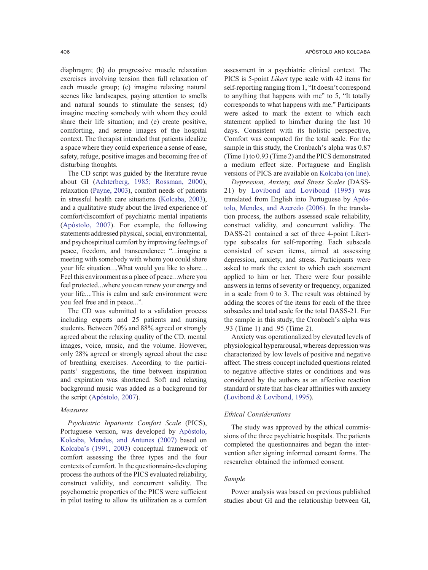diaphragm; (b) do progressive muscle relaxation exercises involving tension then full relaxation of each muscle group; (c) imagine relaxing natural scenes like landscapes, paying attention to smells and natural sounds to stimulate the senses; (d) imagine meeting somebody with whom they could share their life situation; and (e) create positive, comforting, and serene images of the hospital context. The therapist intended that patients idealize a space where they could experience a sense of ease, safety, refuge, positive images and becoming free of disturbing thoughts.

The CD script was guided by the literature revue about GI [\(Achterberg, 1985; Rossman, 2000](#page-7-0)), relaxation ([Payne, 2003\)](#page-8-0), comfort needs of patients in stressful health care situations [\(Kolcaba, 2003\)](#page-7-0), and a qualitative study about the lived experience of comfort/discomfort of psychiatric mental inpatients [\(Apóstolo, 2007\)](#page-7-0). For example, the following statements addressed physical, social, environmental, and psychospiritual comfort by improving feelings of peace, freedom, and transcendence: "…imagine a meeting with somebody with whom you could share your life situation….What would you like to share… Feel this environment as a place of peace…where you feel protected…where you can renew your energy and your life….This is calm and safe environment were you feel free and in peace…".

The CD was submitted to a validation process including experts and 25 patients and nursing students. Between 70% and 88% agreed or strongly agreed about the relaxing quality of the CD, mental images, voice, music, and the volume. However, only 28% agreed or strongly agreed about the ease of breathing exercises. According to the participants' suggestions, the time between inspiration and expiration was shortened. Soft and relaxing background music was added as a background for the script ([Apóstolo, 2007\)](#page-7-0).

#### Measures

Psychiatric Inpatients Comfort Scale (PICS), Portuguese version, was developed by [Apóstolo,](#page-7-0) [Kolcaba, Mendes, and Antunes \(2007\)](#page-7-0) based on [Kolcaba's \(1991, 2003](#page-7-0)) conceptual framework of comfort assessing the three types and the four contexts of comfort. In the questionnaire-developing process the authors of the PICS evaluated reliability, construct validity, and concurrent validity. The psychometric properties of the PICS were sufficient in pilot testing to allow its utilization as a comfort assessment in a psychiatric clinical context. The PICS is 5-point Likert type scale with 42 items for self-reporting ranging from 1, "It doesn't correspond to anything that happens with me" to 5, "It totally corresponds to what happens with me." Participants were asked to mark the extent to which each statement applied to him/her during the last 10 days. Consistent with its holistic perspective, Comfort was computed for the total scale. For the sample in this study, the Cronbach's alpha was 0.87 (Time 1) to 0.93 (Time 2) and the PICS demonstrated a medium effect size. Portuguese and English versions of PICS are available on [Kolcaba \(on line\).](#page-7-0)

Depression, Anxiety, and Stress Scales (DASS-21) by [Lovibond and Lovibond \(1995\)](#page-7-0) was translated from English into Portuguese by [Após](#page-7-0)[tolo, Mendes, and Azeredo \(2006\)](#page-7-0). In the translation process, the authors assessed scale reliability, construct validity, and concurrent validity. The DASS-21 contained a set of three 4-point Likerttype subscales for self-reporting. Each subscale consisted of seven items, aimed at assessing depression, anxiety, and stress. Participants were asked to mark the extent to which each statement applied to him or her. There were four possible answers in terms of severity or frequency, organized in a scale from 0 to 3. The result was obtained by adding the scores of the items for each of the three subscales and total scale for the total DASS-21. For the sample in this study, the Cronbach's alpha was .93 (Time 1) and .95 (Time 2).

Anxiety was operationalized by elevated levels of physiological hyperarousal, whereas depression was characterized by low levels of positive and negative affect. The stress concept included questions related to negative affective states or conditions and was considered by the authors as an affective reaction standard or state that has clear affinities with anxiety [\(Lovibond & Lovibond, 1995](#page-7-0)).

## Ethical Considerations

The study was approved by the ethical commissions of the three psychiatric hospitals. The patients completed the questionnaires and began the intervention after signing informed consent forms. The researcher obtained the informed consent.

## Sample

Power analysis was based on previous published studies about GI and the relationship between GI,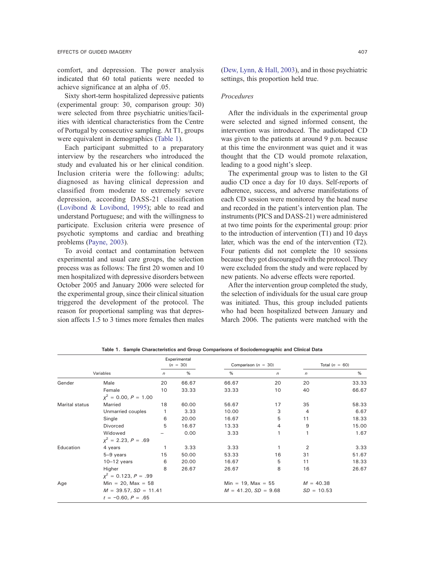comfort, and depression. The power analysis indicated that 60 total patients were needed to achieve significance at an alpha of .05.

Sixty short-term hospitalized depressive patients (experimental group: 30, comparison group: 30) were selected from three psychiatric unities/facilities with identical characteristics from the Centre of Portugal by consecutive sampling. At T1, groups were equivalent in demographics (Table 1).

Each participant submitted to a preparatory interview by the researchers who introduced the study and evaluated his or her clinical condition. Inclusion criteria were the following: adults; diagnosed as having clinical depression and classified from moderate to extremely severe depression, according DASS-21 classification ([Lovibond & Lovibond, 1995\)](#page-7-0); able to read and understand Portuguese; and with the willingness to participate. Exclusion criteria were presence of psychotic symptoms and cardiac and breathing problems ([Payne, 2003](#page-8-0)).

To avoid contact and contamination between experimental and usual care groups, the selection process was as follows: The first 20 women and 10 men hospitalized with depressive disorders between October 2005 and January 2006 were selected for the experimental group, since their clinical situation triggered the development of the protocol. The reason for proportional sampling was that depression affects 1.5 to 3 times more females then males

[\(Dew, Lynn, & Hall, 2003](#page-7-0)), and in those psychiatric settings, this proportion held true.

## Procedures

After the individuals in the experimental group were selected and signed informed consent, the intervention was introduced. The audiotaped CD was given to the patients at around 9 p.m. because at this time the environment was quiet and it was thought that the CD would promote relaxation, leading to a good night's sleep.

The experimental group was to listen to the GI audio CD once a day for 10 days. Self-reports of adherence, success, and adverse manifestations of each CD session were monitored by the head nurse and recorded in the patient's intervention plan. The instruments (PICS and DASS-21) were administered at two time points for the experimental group: prior to the introduction of intervention (T1) and 10 days later, which was the end of the intervention (T2). Four patients did not complete the 10 sessions because they got discouraged with the protocol. They were excluded from the study and were replaced by new patients. No adverse effects were reported.

After the intervention group completed the study, the selection of individuals for the usual care group was initiated. Thus, this group included patients who had been hospitalized between January and March 2006. The patients were matched with the

|                |                            | Experimental<br>$(n = 30)$ |       | Comparison ( $n = 30$ )   |            | Total ( $n = 60$ ) |       |
|----------------|----------------------------|----------------------------|-------|---------------------------|------------|--------------------|-------|
|                | Variables                  |                            | %     | %                         | $\sqrt{n}$ | $\sqrt{n}$         | %     |
| Gender         | Male                       | 20                         | 66.67 | 66.67                     | 20         | 20                 | 33.33 |
|                | Female                     | 10                         | 33.33 | 33.33                     | 10         | 40                 | 66.67 |
|                | $x^2 = 0.00, P = 1.00$     |                            |       |                           |            |                    |       |
| Marital status | Married                    | 18                         | 60.00 | 56.67                     | 17         | 35                 | 58.33 |
|                | Unmarried couples          |                            | 3.33  | 10.00                     | 3          | 4                  | 6.67  |
|                | Single                     | 6                          | 20.00 | 16.67                     | 5          | 11                 | 18.33 |
|                | <b>Divorced</b>            | 5                          | 16.67 | 13.33                     | 4          | 9                  | 15.00 |
|                | Widowed                    |                            | 0.00  | 3.33                      | 1          | 1                  | 1.67  |
|                | $x^2 = 2.23, P = .69$      |                            |       |                           |            |                    |       |
| Education      | 4 years                    |                            | 3.33  | 3.33                      | 1          | 2                  | 3.33  |
|                | 5-9 years                  | 15                         | 50.00 | 53.33                     | 16         | 31                 | 51.67 |
|                | $10-12$ years              | 6                          | 20.00 | 16.67                     | 5          | 11                 | 18.33 |
|                | Higher                     | 8                          | 26.67 | 26.67                     | 8          | 16                 | 26.67 |
|                | $x^2 = 0.123$ , $P = .99$  |                            |       |                           |            |                    |       |
| Age            | $Min = 20$ , $Max = 58$    |                            |       | $Min = 19$ , $Max = 55$   |            | $M = 40.38$        |       |
|                | $M = 39.57$ , $SD = 11.41$ |                            |       | $M = 41.20$ , $SD = 9.68$ |            | $SD = 10.53$       |       |
|                | $t = -0.60, P = .65$       |                            |       |                           |            |                    |       |

Table 1. Sample Characteristics and Group Comparisons of Sociodemographic and Clinical Data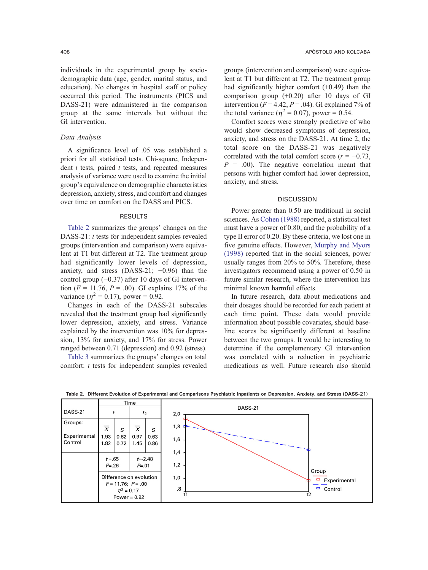individuals in the experimental group by sociodemographic data (age, gender, marital status, and education). No changes in hospital staff or policy occurred this period. The instruments (PICS and DASS-21) were administered in the comparison group at the same intervals but without the GI intervention.

# Data Analysis

A significance level of .05 was established a priori for all statistical tests. Chi-square, Independent  $t$  tests, paired  $t$  tests, and repeated measures analysis of variance were used to examine the initial group's equivalence on demographic characteristics depression, anxiety, stress, and comfort and changes over time on comfort on the DASS and PICS.

#### RESULTS

Table 2 summarizes the groups' changes on the DASS-21: t tests for independent samples revealed groups (intervention and comparison) were equivalent at T1 but different at T2. The treatment group had significantly lower levels of depression, anxiety, and stress (DASS-21;  $-0.96$ ) than the control group (−0.37) after 10 days of GI intervention ( $F = 11.76$ ,  $P = .00$ ). GI explains 17% of the variance ( $\eta^2 = 0.17$ ), power = 0.92.

Changes in each of the DASS-21 subscales revealed that the treatment group had significantly lower depression, anxiety, and stress. Variance explained by the intervention was 10% for depression, 13% for anxiety, and 17% for stress. Power ranged between 0.71 (depression) and 0.92 (stress).

[Table 3](#page-6-0) summarizes the groups' changes on total comfort: t tests for independent samples revealed

groups (intervention and comparison) were equivalent at T1 but different at T2. The treatment group had significantly higher comfort  $(+0.49)$  than the comparison group (+0.20) after 10 days of GI intervention ( $F = 4.42$ ,  $P = .04$ ). GI explained 7% of the total variance ( $\eta^2 = 0.07$ ), power = 0.54.

Comfort scores were strongly predictive of who would show decreased symptoms of depression, anxiety, and stress on the DASS-21. At time 2, the total score on the DASS-21 was negatively correlated with the total comfort score ( $r = -0.73$ ,  $P = .00$ ). The negative correlation meant that persons with higher comfort had lower depression, anxiety, and stress.

#### **DISCUSSION**

Power greater than 0.50 are traditional in social sciences. As [Cohen \(1988\)](#page-7-0) reported, a statistical test must have a power of 0.80, and the probability of a type II error of 0.20. By these criteria, we lost one in five genuine effects. However, [Murphy and Myors](#page-7-0) [\(1998\)](#page-7-0) reported that in the social sciences, power usually ranges from 20% to 50%. Therefore, these investigators recommend using a power of 0.50 in future similar research, where the intervention has minimal known harmful effects.

In future research, data about medications and their dosages should be recorded for each patient at each time point. These data would provide information about possible covariates, should baseline scores be significantly different at baseline between the two groups. It would be interesting to determine if the complementary GI intervention was correlated with a reduction in psychiatric medications as well. Future research also should

|                                                                                         | Time                   |              |                          |              |                                                                                         |
|-----------------------------------------------------------------------------------------|------------------------|--------------|--------------------------|--------------|-----------------------------------------------------------------------------------------|
| <b>DASS-21</b>                                                                          |                        | $t_1$        | t <sub>2</sub>           |              | <b>DASS-21</b><br>2,0                                                                   |
| Groups:                                                                                 | $\overline{x}$         | S            | $\overline{x}$           | S            | 1,8<br>╺                                                                                |
| Experimental<br>Control                                                                 | 1.93<br>1.82           | 0.62<br>0.72 | 0.97<br>1.45             | 0.63<br>0.86 | 1,6<br>1,4                                                                              |
|                                                                                         | $t = 65$<br>$P = 0.26$ |              | $t = -2.48$<br>$P = .01$ |              | 1,2<br>Group                                                                            |
| Difference on evolution<br>$F = 11.76$ ; $P = .00$<br>$\eta^2 = 0.17$<br>Power = $0.92$ |                        |              |                          |              | 1,0<br>$\blacksquare$ Experimental<br>,8<br>$\qquad \qquad \Box$<br>Control<br>t1<br>t2 |

Table 2. Different Evolution of Experimental and Comparisons Psychiatric Inpatients on Depression, Anxiety, and Stress (DASS-21)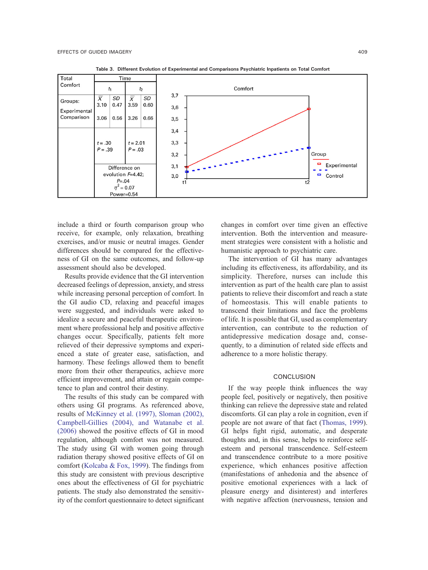<span id="page-6-0"></span>

Table 3. Different Evolution of Experimental and Comparisons Psychiatric Inpatients on Total Comfort

include a third or fourth comparison group who receive, for example, only relaxation, breathing exercises, and/or music or neutral images. Gender differences should be compared for the effectiveness of GI on the same outcomes, and follow-up assessment should also be developed.

Results provide evidence that the GI intervention decreased feelings of depression, anxiety, and stress while increasing personal perception of comfort. In the GI audio CD, relaxing and peaceful images were suggested, and individuals were asked to idealize a secure and peaceful therapeutic environment where professional help and positive affective changes occur. Specifically, patients felt more relieved of their depressive symptoms and experienced a state of greater ease, satisfaction, and harmony. These feelings allowed them to benefit more from their other therapeutics, achieve more efficient improvement, and attain or regain competence to plan and control their destiny.

The results of this study can be compared with others using GI programs. As referenced above, results of [McKinney et al. \(1997\), Sloman \(2002\),](#page-7-0) [Campbell-Gillies \(2004\), and Watanabe et al.](#page-7-0) [\(2006\)](#page-7-0) showed the positive effects of GI in mood regulation, although comfort was not measured. The study using GI with women going through radiation therapy showed positive effects of GI on comfort ([Kolcaba & Fox, 1999\)](#page-7-0). The findings from this study are consistent with previous descriptive ones about the effectiveness of GI for psychiatric patients. The study also demonstrated the sensitivity of the comfort questionnaire to detect significant changes in comfort over time given an effective intervention. Both the intervention and measurement strategies were consistent with a holistic and humanistic approach to psychiatric care.

The intervention of GI has many advantages including its effectiveness, its affordability, and its simplicity. Therefore, nurses can include this intervention as part of the health care plan to assist patients to relieve their discomfort and reach a state of homeostasis. This will enable patients to transcend their limitations and face the problems of life. It is possible that GI, used as complementary intervention, can contribute to the reduction of antidepressive medication dosage and, consequently, to a diminution of related side effects and adherence to a more holistic therapy.

## CONCLUSION

If the way people think influences the way people feel, positively or negatively, then positive thinking can relieve the depressive state and related discomforts. GI can play a role in cognition, even if people are not aware of that fact ([Thomas, 1999](#page-8-0)). GI helps fight rigid, automatic, and desperate thoughts and, in this sense, helps to reinforce selfesteem and personal transcendence. Self-esteem and transcendence contribute to a more positive experience, which enhances positive affection (manifestations of anhedonia and the absence of positive emotional experiences with a lack of pleasure energy and disinterest) and interferes with negative affection (nervousness, tension and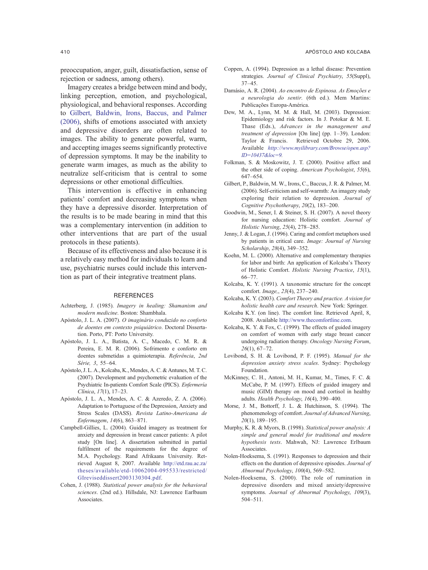<span id="page-7-0"></span>preoccupation, anger, guilt, dissatisfaction, sense of rejection or sadness, among others).

Imagery creates a bridge between mind and body, linking perception, emotion, and psychological, physiological, and behavioral responses. According to Gilbert, Baldwin, Irons, Baccus, and Palmer (2006), shifts of emotions associated with anxiety and depressive disorders are often related to images. The ability to generate powerful, warm, and accepting images seems significantly protective of depression symptoms. It may be the inability to generate warm images, as much as the ability to neutralize self-criticism that is central to some depressions or other emotional difficulties.

This intervention is effective in enhancing patients' comfort and decreasing symptoms when they have a depressive disorder. Interpretation of the results is to be made bearing in mind that this was a complementary intervention (in addition to other interventions that are part of the usual protocols in these patients).

Because of its effectiveness and also because it is a relatively easy method for individuals to learn and use, psychiatric nurses could include this intervention as part of their integrative treatment plans.

#### **REFERENCES**

- Achterberg, J. (1985). Imagery in healing: Shamanism and modern medicine. Boston: Shambhala.
- Apóstolo, J. L. A. (2007). O imaginário conduzido no conforto de doentes em contexto psiquiátrico. Doctoral Dissertation. Porto, PT: Porto University.
- Apóstolo, J. L. A., Batista, A. C., Macedo, C. M. R. & Pereira, E. M. R. (2006). Sofrimento e conforto em doentes submetidas a quimioterapia. Referência, 2nd Série, 3, 55–64.
- Apóstolo, J. L. A., Kolcaba, K., Mendes, A. C. & Antunes, M. T. C. (2007). Development and psychometric evaluation of the Psychiatric In-patients Comfort Scale (PICS). Enfermería Clínica, 17(1), 17–23.
- Apóstolo, J. L. A., Mendes, A. C. & Azeredo, Z. A. (2006). Adaptation to Portuguese of the Depression, Anxiety and Stress Scales (DASS). Revista Latino-Americana de Enfermagem, 14(6), 863–871.
- Campbell-Gillies, L. (2004). Guided imagery as treatment for anxiety and depression in breast cancer patients: A pilot study [On line]. A dissertation submitted in partial fulfilment of the requirements for the degree of M.A. Psychology. Rand Afrikaans University. Retrieved August 8, 2007. Available [http://etd.rau.ac.za/](http://etd.rau.ac.za/theses/available/etd-10062004-095533/restricted/GIreviseddissert2003130304.pdf) [theses/available/etd-10062004-095533/restricted/](http://etd.rau.ac.za/theses/available/etd-10062004-095533/restricted/GIreviseddissert2003130304.pdf) [GIreviseddissert2003130304.pdf](http://etd.rau.ac.za/theses/available/etd-10062004-095533/restricted/GIreviseddissert2003130304.pdf).
- Cohen, J. (1988). Statistical power analysis for the behavioral sciences. (2nd ed.). Hillsdale, NJ: Lawrence Earlbaum Associates.
- Coppen, A. (1994). Depression as a lethal disease: Prevention strategies. Journal of Clinical Psychiatry, 55(Suppl), 37–45.
- Damásio, A. R. (2004). Ao encontro de Espinosa. As Emoções e a neurologia do sentir. (6th ed.). Mem Martins: Publicações Europa-América.
- Dew, M. A., Lynn, M. M. & Hall, M. (2003). Depression: Epidemiology and risk factors. In J. Potokar & M. E. Thase (Eds.), Advances in the management and treatment of depression [On line] (pp. 1–39). London: Taylor & Francis. Retrieved Octobre 29, 2006. Available [http://www.myilibrary.com/Browse/open.asp?](http://www.myilibrary.com/Browse/open.asp?ID=10437&loc=9) [ID=10437&loc=9.](http://www.myilibrary.com/Browse/open.asp?ID=10437&loc=9)
- Folkman, S. & Moskowitz, J. T. (2000). Positive affect and the other side of coping. American Psychologist, 55(6), 647–654.
- Gilbert, P., Baldwin, M. W., Irons, C., Baccus, J. R. & Palmer, M. (2006). Self-criticism and self-warmth: An imagery study exploring their relation to depression. Journal of Cognitive Psychotherapy, 20(2), 183–200.
- Goodwin, M., Sener, I. & Steiner, S. H. (2007). A novel theory for nursing education: Holistic comfort. Journal of Holistic Nursing, 25(4), 278–285.
- Jenny, J. & Logan, J. (1996). Caring and comfort metaphors used by patients in critical care. Image: Journal of Nursing Scholarship, 28(4), 349–352.
- Koehn, M. L. (2000). Alternative and complementary therapies for labor and birth: An application of Kolcaba's Theory of Holistic Comfort. Holistic Nursing Practice, 15(1), 66–77.
- Kolcaba, K. Y. (1991). A taxonomic structure for the concept comfort. Image,, 23(4), 237–240.
- Kolcaba, K. Y. (2003). Comfort Theory and practice. A vision for holistic health care and research. New York: Springer.
- Kolcaba K.Y. (on line). The comfort line. Retrieved April, 8, 2008. Available [http://www.thecomfortline.com.](http://www.thecomfortline.com)
- Kolcaba, K. Y. & Fox, C. (1999). The effects of guided imagery on comfort of women with early stage breast cancer undergoing radiation therapy. Oncology Nursing Forum, 26(1), 67–72.
- Lovibond, S. H. & Lovibond, P. F. (1995). Manual for the depression anxiety stress scales. Sydney: Psychology Foundation.
- McKinney, C. H., Antoni, M. H., Kumar, M., Times, F. C. & McCabe, P. M. (1997). Effects of guided imagery and music (GIM) therapy on mood and cortisol in healthy adults. Health Psychology, 16(4), 390–400.
- Morse, J. M., Bottorff, J. L. & Hutchinson, S. (1994). The phenomenology of comfort. Journal of Advanced Nursing, 20(1), 189–195.
- Murphy, K. R. & Myors, B. (1998). Statistical power analysis: A simple and general model for traditional and modern hypothesis tests. Mahwah, NJ: Lawrence Erlbaum Associates.
- Nolen-Hoeksema, S. (1991). Responses to depression and their effects on the duration of depressive episodes. Journal of Abnormal Psychology, 100(4), 569–582.
- Nolen-Hoeksema, S. (2000). The role of rumination in depressive disorders and mixed anxiety/depressive symptoms. Journal of Abnormal Psychology, 109(3), 504–511.